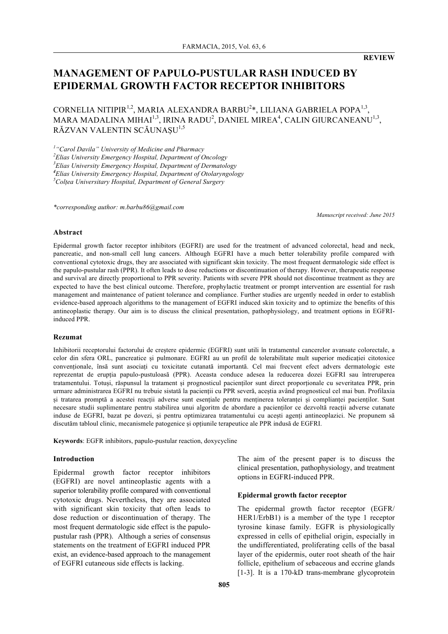**REVIEW**

# **MANAGEMENT OF PAPULO-PUSTULAR RASH INDUCED BY EPIDERMAL GROWTH FACTOR RECEPTOR INHIBITORS**

CORNELIA NITIPIR<sup>1,2</sup>, MARIA ALEXANDRA BARBU<sup>2</sup>\*, LILIANA GABRIELA POPA<sup>1,3</sup>, MARA MADALINA MIHAI $^{1,3}$ , IRINA RADU $^2$ , DANIEL MIREA $^4$ , CALIN GIURCANEANU $^{1,3}$ , RĂZVAN VALENTIN SCĂUNAȘU<sup>1,5</sup>

 *"Carol Davila" University of Medicine and Pharmacy Elias University Emergency Hospital, Department of Oncology Elias University Emergency Hospital, Department of Dermatology Elias University Emergency Hospital, Department of Otolaryngology Colțea Universitary Hospital, Department of General Surgery*

*\*corresponding author: m.barbu86@gmail.com*

*Manuscript received: June 2015*

#### **Abstract**

Epidermal growth factor receptor inhibitors (EGFRI) are used for the treatment of advanced colorectal, head and neck, pancreatic, and non-small cell lung cancers. Although EGFRI have a much better tolerability profile compared with conventional cytotoxic drugs, they are associated with significant skin toxicity. The most frequent dermatologic side effect is the papulo-pustular rash (PPR). It often leads to dose reductions or discontinuation of therapy. However, therapeutic response and survival are directly proportional to PPR severity. Patients with severe PPR should not discontinue treatment as they are expected to have the best clinical outcome. Therefore, prophylactic treatment or prompt intervention are essential for rash management and maintenance of patient tolerance and compliance. Further studies are urgently needed in order to establish evidence-based approach algorithms to the management of EGFRI induced skin toxicity and to optimize the benefits of this antineoplastic therapy. Our aim is to discuss the clinical presentation, pathophysiology, and treatment options in EGFRIinduced PPR.

#### **Rezumat**

Inhibitorii receptorului factorului de creștere epidermic (EGFRI) sunt utili în tratamentul cancerelor avansate colorectale, a celor din sfera ORL, pancreatice și pulmonare. EGFRI au un profil de tolerabilitate mult superior medicației citotoxice convenționale, însă sunt asociați cu toxicitate cutanată importantă. Cel mai frecvent efect advers dermatologic este reprezentat de erupția papulo-pustuloasă (PPR). Aceasta conduce adesea la reducerea dozei EGFRI sau întreruperea tratamentului. Totuși, răspunsul la tratament și prognosticul pacienților sunt direct proporționale cu severitatea PPR, prin urmare administrarea EGFRI nu trebuie sistată la pacienții cu PPR severă, aceștia având prognosticul cel mai bun. Profilaxia și tratarea promptă a acestei reacții adverse sunt esențiale pentru menținerea toleranței și complianței pacienților. Sunt necesare studii suplimentare pentru stabilirea unui algoritm de abordare a pacienților ce dezvoltă reacții adverse cutanate induse de EGFRI, bazat pe dovezi, și pentru optimizarea tratamentului cu acești agenți antineoplazici. Ne propunem să discutăm tabloul clinic, mecanismele patogenice și opțiunile terapeutice ale PPR indusă de EGFRI.

**Keywords**: EGFR inhibitors, papulo-pustular reaction, doxycycline

### **Introduction**

Epidermal growth factor receptor inhibitors (EGFRI) are novel antineoplastic agents with a superior tolerability profile compared with conventional cytotoxic drugs. Nevertheless, they are associated with significant skin toxicity that often leads to dose reduction or discontinuation of therapy. The most frequent dermatologic side effect is the papulopustular rash (PPR). Although a series of consensus statements on the treatment of EGFRI induced PPR exist, an evidence-based approach to the management of EGFRI cutaneous side effects is lacking.

The aim of the present paper is to discuss the clinical presentation, pathophysiology, and treatment options in EGFRI-induced PPR.

#### **Epidermal growth factor receptor**

The epidermal growth factor receptor (EGFR/ HER1/ErbB1) is a member of the type 1 receptor tyrosine kinase family. EGFR is physiologically expressed in cells of epithelial origin, especially in the undifferentiated, proliferating cells of the basal layer of the epidermis, outer root sheath of the hair follicle, epithelium of sebaceous and eccrine glands [1-3]. It is a 170-kD trans-membrane glycoprotein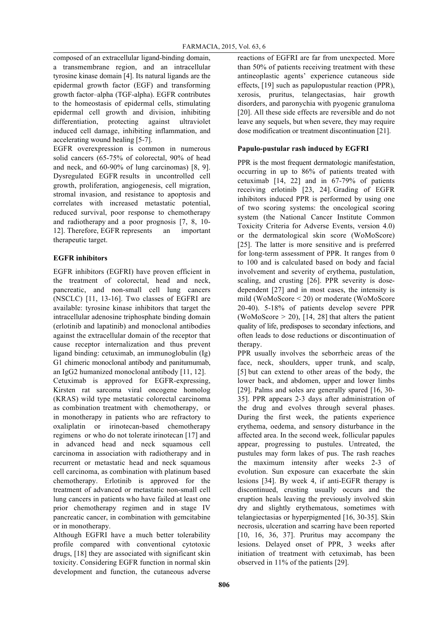composed of an extracellular ligand-binding domain, a transmembrane region, and an intracellular tyrosine kinase domain [4]. Its natural ligands are the epidermal growth factor (EGF) and transforming growth factor–alpha (TGF-alpha). EGFR contributes to the homeostasis of epidermal cells, stimulating epidermal cell growth and division, inhibiting differentiation, protecting against ultraviolet induced cell damage, inhibiting inflammation, and accelerating wound healing [5-7].

EGFR overexpression is common in numerous solid cancers (65-75% of colorectal, 90% of head and neck, and 60-90% of lung carcinomas) [8, 9]. Dysregulated EGFR results in uncontrolled cell growth, proliferation, angiogenesis, cell migration, stromal invasion, and resistance to apoptosis and correlates with increased metastatic potential, reduced survival, poor response to chemotherapy and radiotherapy and a poor prognosis [7, 8, 10- 12]. Therefore, EGFR represents an important therapeutic target.

# **EGFR inhibitors**

EGFR inhibitors (EGFRI) have proven efficient in the treatment of colorectal, head and neck, pancreatic, and non-small cell lung cancers (NSCLC) [11, 13-16]. Two classes of EGFRI are available: tyrosine kinase inhibitors that target the intracellular adenosine triphosphate binding domain (erlotinib and lapatinib) and monoclonal antibodies against the extracellular domain of the receptor that cause receptor internalization and thus prevent ligand binding: cetuximab, an immunoglobulin (Ig) G1 chimeric monoclonal antibody and panitumumab, an IgG2 humanized monoclonal antibody [11, 12].

Cetuximab is approved for EGFR-expressing, Kirsten rat sarcoma viral oncogene homolog (KRAS) wild type metastatic colorectal carcinoma as combination treatment with chemotherapy, or in monotherapy in patients who are refractory to oxaliplatin or irinotecan-based chemotherapy regimens or who do not tolerate irinotecan [17] and in advanced head and neck squamous cell carcinoma in association with radiotherapy and in recurrent or metastatic head and neck squamous cell carcinoma, as combination with platinum based chemotherapy. Erlotinib is approved for the treatment of advanced or metastatic non-small cell lung cancers in patients who have failed at least one prior chemotherapy regimen and in stage IV pancreatic cancer, in combination with gemcitabine or in monotherapy.

Although EGFRI have a much better tolerability profile compared with conventional cytotoxic drugs, [18] they are associated with significant skin toxicity. Considering EGFR function in normal skin development and function, the cutaneous adverse reactions of EGFRI are far from unexpected. More than 50% of patients receiving treatment with these antineoplastic agents' experience cutaneous side effects, [19] such as papulopustular reaction (PPR), xerosis, pruritus, telangectasias, hair growth disorders, and paronychia with pyogenic granuloma [20]. All these side effects are reversible and do not leave any sequels, but when severe, they may require dose modification or treatment discontinuation [21].

# **Papulo-pustular rash induced by EGFRI**

PPR is the most frequent dermatologic manifestation, occurring in up to 86% of patients treated with cetuximab [14, 22] and in 67-79% of patients receiving erlotinib [23, 24]. Grading of EGFR inhibitors induced PPR is performed by using one of two scoring systems: the oncological scoring system (the National Cancer Institute Common Toxicity Criteria for Adverse Events, version 4.0) or the dermatological skin score (WoMoScore) [25]. The latter is more sensitive and is preferred for long-term assessment of PPR. It ranges from 0 to 100 and is calculated based on body and facial involvement and severity of erythema, pustulation, scaling, and crusting [26]. PPR severity is dosedependent [27] and in most cases, the intensity is mild (WoMoScore < 20) or moderate (WoMoScore 20-40). 5-18% of patients develop severe PPR (WoMoScore  $> 20$ ), [14, 28] that alters the patient quality of life, predisposes to secondary infections, and often leads to dose reductions or discontinuation of therapy.

PPR usually involves the seborrheic areas of the face, neck, shoulders, upper trunk, and scalp, [5] but can extend to other areas of the body, the lower back, and abdomen, upper and lower limbs [29]. Palms and soles are generally spared [16, 30- 35]. PPR appears 2-3 days after administration of the drug and evolves through several phases. During the first week, the patients experience erythema, oedema, and sensory disturbance in the affected area. In the second week, follicular papules appear, progressing to pustules. Untreated, the pustules may form lakes of pus. The rash reaches the maximum intensity after weeks 2-3 of evolution. Sun exposure can exacerbate the skin lesions [34]. By week 4, if anti-EGFR therapy is discontinued, crusting usually occurs and the eruption heals leaving the previously involved skin dry and slightly erythematous, sometimes with telangiectasias or hyperpigmented [16, 30-35]. Skin necrosis, ulceration and scarring have been reported [10, 16, 36, 37]. Pruritus may accompany the lesions. Delayed onset of PPR, 3 weeks after initiation of treatment with cetuximab, has been observed in 11% of the patients [29].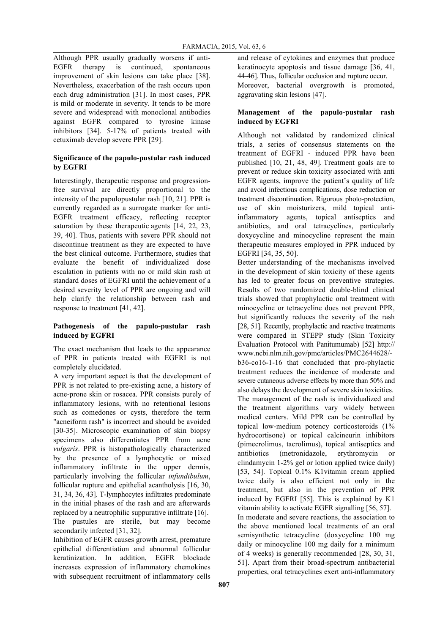Although PPR usually gradually worsens if anti-EGFR therapy is continued, spontaneous improvement of skin lesions can take place [38]. Nevertheless, exacerbation of the rash occurs upon each drug administration [31]. In most cases, PPR is mild or moderate in severity. It tends to be more severe and widespread with monoclonal antibodies against EGFR compared to tyrosine kinase inhibitors [34]. 5-17% of patients treated with cetuximab develop severe PPR [29].

# **Significance of the papulo-pustular rash induced by EGFRI**

Interestingly, therapeutic response and progressionfree survival are directly proportional to the intensity of the papulopustular rash [10, 21]. PPR is currently regarded as a surrogate marker for anti-EGFR treatment efficacy, reflecting receptor saturation by these therapeutic agents [14, 22, 23, 39, 40]. Thus, patients with severe PPR should not discontinue treatment as they are expected to have the best clinical outcome. Furthermore, studies that evaluate the benefit of individualized dose escalation in patients with no or mild skin rash at standard doses of EGFRI until the achievement of a desired severity level of PPR are ongoing and will help clarify the relationship between rash and response to treatment [41, 42].

# **Pathogenesis of the papulo-pustular rash induced by EGFRI**

The exact mechanism that leads to the appearance of PPR in patients treated with EGFRI is not completely elucidated.

A very important aspect is that the development of PPR is not related to pre-existing acne, a history of acne-prone skin or rosacea. PPR consists purely of inflammatory lesions, with no retentional lesions such as comedones or cysts, therefore the term "acneiform rash" is incorrect and should be avoided [30-35]. Microscopic examination of skin biopsy specimens also differentiates PPR from acne *vulgaris*. PPR is histopathologically characterized by the presence of a lymphocytic or mixed inflammatory infiltrate in the upper dermis, particularly involving the follicular *infundibulum*, follicular rupture and epithelial acantholysis [16, 30, 31, 34, 36, 43]. T-lymphocytes infiltrates predominate in the initial phases of the rash and are afterwards replaced by a neutrophilic suppurative infiltrate [16]. The pustules are sterile, but may become secondarily infected [31, 32].

Inhibition of EGFR causes growth arrest, premature epithelial differentiation and abnormal follicular keratinization. In addition, EGFR blockade increases expression of inflammatory chemokines with subsequent recruitment of inflammatory cells and release of cytokines and enzymes that produce keratinocyte apoptosis and tissue damage [36, 41, 44-46]. Thus, follicular occlusion and rupture occur. Moreover, bacterial overgrowth is promoted, aggravating skin lesions [47].

# **Management of the papulo-pustular rash induced by EGFRI**

Although not validated by randomized clinical trials, a series of consensus statements on the treatment of EGFRI - induced PPR have been published [10, 21, 48, 49]. Treatment goals are to prevent or reduce skin toxicity associated with anti EGFR agents, improve the patient's quality of life and avoid infectious complications, dose reduction or treatment discontinuation. Rigorous photo-protection, use of skin moisturizers, mild topical antiinflammatory agents, topical antiseptics and antibiotics, and oral tetracyclines, particularly doxycycline and minocycline represent the main therapeutic measures employed in PPR induced by EGFRI [34, 35, 50].

Better understanding of the mechanisms involved in the development of skin toxicity of these agents has led to greater focus on preventive strategies. Results of two randomized double-blind clinical trials showed that prophylactic oral treatment with minocycline or tetracycline does not prevent PPR, but significantly reduces the severity of the rash [28, 51]. Recently, prophylactic and reactive treatments were compared in STEPP study (Skin Toxicity Evaluation Protocol with Panitumumab) [52] http:// www.ncbi.nlm.nih.gov/pmc/articles/PMC2644628/ b36-co16-1-16 that concluded that pro-phylactic treatment reduces the incidence of moderate and severe cutaneous adverse effects by more than 50% and also delays the development of severe skin toxicities. The management of the rash is individualized and the treatment algorithms vary widely between medical centers. Mild PPR can be controlled by topical low-medium potency corticosteroids (1% hydrocortisone) or topical calcineurin inhibitors (pimecrolimus, tacrolimus), topical antiseptics and antibiotics (metronidazole, erythromycin or clindamycin 1-2% gel or lotion applied twice daily) [53, 54]. Topical 0.1% K1vitamin cream applied twice daily is also efficient not only in the treatment, but also in the prevention of PPR induced by EGFRI [55]. This is explained by K1 vitamin ability to activate EGFR signalling [56, 57]. In moderate and severe reactions, the association to the above mentioned local treatments of an oral semisynthetic tetracycline (doxycycline 100 mg daily or minocycline 100 mg daily for a minimum of 4 weeks) is generally recommended [28, 30, 31, 51]. Apart from their broad-spectrum antibacterial properties, oral tetracyclines exert anti-inflammatory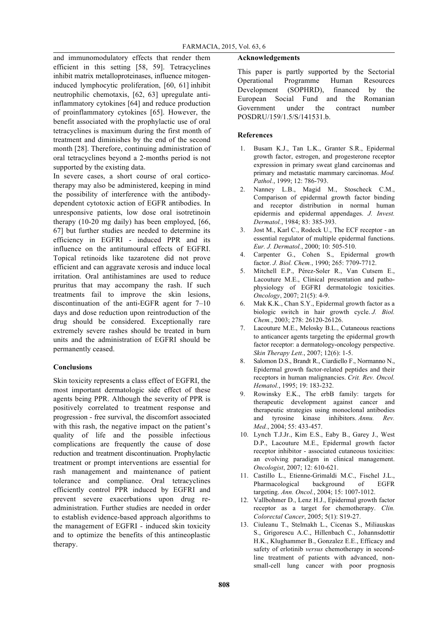and immunomodulatory effects that render them efficient in this setting [58, 59]. Tetracyclines inhibit matrix metalloproteinases, influence mitogeninduced lymphocytic proliferation, [60, 61] inhibit neutrophilic chemotaxis, [62, 63] upregulate antiinflammatory cytokines [64] and reduce production of proinflammatory cytokines [65]. However, the benefit associated with the prophylactic use of oral tetracyclines is maximum during the first month of treatment and diminishes by the end of the second month [28]. Therefore, continuing administration of oral tetracyclines beyond a 2-months period is not supported by the existing data.

In severe cases, a short course of oral corticotherapy may also be administered, keeping in mind the possibility of interference with the antibodydependent cytotoxic action of EGFR antibodies. In unresponsive patients, low dose oral isotretinoin therapy (10-20 mg daily) has been employed, [66, 67] but further studies are needed to determine its efficiency in EGFRI - induced PPR and its influence on the antitumoural effects of EGFRI. Topical retinoids like tazarotene did not prove efficient and can aggravate xerosis and induce local irritation. Oral antihistamines are used to reduce pruritus that may accompany the rash. If such treatments fail to improve the skin lesions, discontinuation of the anti-EGFR agent for 7–10 days and dose reduction upon reintroduction of the drug should be considered. Exceptionally rare extremely severe rashes should be treated in burn units and the administration of EGFRI should be permanently ceased.

# **Conclusions**

Skin toxicity represents a class effect of EGFRI, the most important dermatologic side effect of these agents being PPR. Although the severity of PPR is positively correlated to treatment response and progression - free survival, the discomfort associated with this rash, the negative impact on the patient's quality of life and the possible infectious complications are frequently the cause of dose reduction and treatment discontinuation. Prophylactic treatment or prompt interventions are essential for rash management and maintenance of patient tolerance and compliance. Oral tetracyclines efficiently control PPR induced by EGFRI and prevent severe exacerbations upon drug readministration. Further studies are needed in order to establish evidence-based approach algorithms to the management of EGFRI - induced skin toxicity and to optimize the benefits of this antineoplastic therapy.

### **Acknowledgements**

This paper is partly supported by the Sectorial Operational Programme Human Resources Development (SOPHRD), financed by the European Social Fund and the Romanian Government under the contract number POSDRU/159/1.5/S/141531.b.

# **References**

- 1. Busam K.J., Tan L.K., Granter S.R., Epidermal growth factor, estrogen, and progesterone receptor expression in primary sweat gland carcinomas and primary and metastatic mammary carcinomas. *Mod. Pathol.*, 1999; 12: 786-793.
- 2. Nanney L.B., Magid M., Stoscheck C.M., Comparison of epidermal growth factor binding and receptor distribution in normal human epidermis and epidermal appendages. *J. Invest. Dermatol.*, 1984; 83: 385-393.
- 3. Jost M., Karl C., Rodeck U., The ECF receptor an essential regulator of multiple epidermal functions. *Eur. J. Dermatol.*, 2000; 10: 505-510.
- 4. Carpenter G., Cohen S., Epidermal growth factor. *J. Biol. Chem.*, 1990; 265: 7709-7712.
- 5. Mitchell E.P., Pérez-Soler R., Van Cutsem E., Lacouture M.E., Clinical presentation and pathophysiology of EGFRI dermatologic toxicities. *Oncology*, 2007; 21(5): 4-9.
- 6. Mak K.K., Chan S.Y., Epidermal growth factor as a biologic switch in hair growth cycle. *J. Biol. Chem.*, 2003; 278: 26120-26126.
- 7. Lacouture M.E., Melosky B.L., Cutaneous reactions to anticancer agents targeting the epidermal growth factor receptor: a dermatology-oncology perspective. *Skin Therapy Lett.*, 2007; 12(6): 1-5.
- 8. Salomon D.S., Brandt R., Ciardiello F., Normanno N., Epidermal growth factor-related peptides and their receptors in human malignancies. *Crit. Rev. Oncol. Hematol.*, 1995; 19: 183-232.
- 9. Rowinsky E.K., The erbB family: targets for therapeutic development against cancer and therapeutic strategies using monoclonal antibodies and tyrosine kinase inhibitors. *Annu. Rev. Med.*, 2004; 55: 433-457.
- 10. Lynch T.J.Jr., Kim E.S., Eaby B., Garey J., West D.P., Lacouture M.E., Epidermal growth factor receptor inhibitor - associated cutaneous toxicities: an evolving paradigm in clinical management. *Oncologist*, 2007; 12: 610-621.
- 11. Castillo L., Etienne-Grimaldi M.C., Fischel J.L., Pharmacological background of EGFR targeting. *Ann. Oncol.*, 2004; 15: 1007-1012.
- 12. Vallbohmer D., Lenz H.J., Epidermal growth factor receptor as a target for chemotherapy. *Clin. Colorectal Cancer*, 2005; 5(1): S19-27.
- 13. Ciuleanu T., Stelmakh L., Cicenas S., Miliauskas S., Grigorescu A.C., Hillenbach C., Johannsdottir H.K., Klughammer B., Gonzalez E.E., Efficacy and safety of erlotinib *versus* chemotherapy in secondline treatment of patients with advanced, nonsmall-cell lung cancer with poor prognosis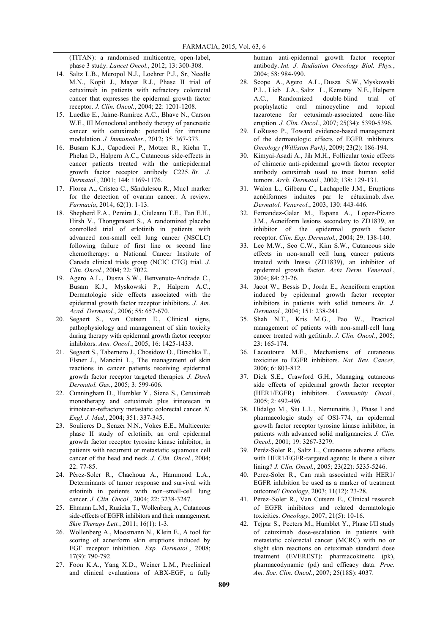(TITAN): a randomised multicentre, open-label, phase 3 study. *Lancet Oncol.*, 2012; 13: 300-308.

- 14. Saltz L.B., Meropol N.J., Loehrer P.J., Sr, Needle M.N., Kopit J., Mayer R.J., Phase II trial of cetuximab in patients with refractory colorectal cancer that expresses the epidermal growth factor receptor. *J. Clin. Oncol.*, 2004; 22: 1201-1208.
- 15. Luedke E., Jaime-Ramirez A.C., Bhave N., Carson W.E., III Monoclonal antibody therapy of pancreatic cancer with cetuximab: potential for immune modulation. *J. Immunother.*, 2012; 35: 367-373.
- 16. Busam K.J., Capodieci P., Motzer R., Kiehn T., Phelan D., Halpern A.C., Cutaneous side-effects in cancer patients treated with the antiepidermal growth factor receptor antibody C225. *Br. J. Dermatol.*, 2001; 144: 1169-1176.
- 17. Florea A., Cristea C., Sãndulescu R., Muc1 marker for the detection of ovarian cancer. A review. *Farmacia*, 2014; 62(1): 1-13.
- 18. Shepherd F.A., Pereira J., Ciuleanu T.E., Tan E.H., Hirsh V., Thongprasert S., A randomized placebo controlled trial of erlotinib in patients with advanced non-small cell lung cancer (NSCLC) following failure of first line or second line chemotherapy: a National Cancer Institute of Canada clinical trials group (NCIC CTG) trial. *J. Clin. Oncol.*, 2004; 22: 7022.
- 19. Agero A.L., Dusza S.W., Benvenuto-Andrade C., Busam K.J., Myskowski P., Halpern A.C., Dermatologic side effects associated with the epidermal growth factor receptor inhibitors. *J. Am. Acad. Dermatol.*, 2006; 55: 657-670.
- 20. Segaert S., van Cutsem E., Clinical signs, pathophysiology and management of skin toxicity during therapy with epidermal growth factor receptor inhibitors. *Ann. Oncol.*, 2005; 16: 1425-1433.
- 21. Segaert S., Tabernero J., Chosidow O., Dirschka T., Elsner J., Mancini L., The management of skin reactions in cancer patients receiving epidermal growth factor receptor targeted therapies. *J. Dtsch Dermatol. Ges.*, 2005; 3: 599-606.
- 22. Cunningham D., Humblet Y., Siena S., Cetuximab monotherapy and cetuximab plus irinotecan in irinotecan-refractory metastatic colorectal cancer. *N. Engl. J. Med.*, 2004; 351: 337-345.
- 23. Soulieres D., Senzer N.N., Vokes E.E., Multicenter phase II study of erlotinib, an oral epidermal growth factor receptor tyrosine kinase inhibitor, in patients with recurrent or metastatic squamous cell cancer of the head and neck. *J. Clin. Oncol*., 2004; 22: 77-85.
- 24. Pérez-Soler R., Chachoua A., Hammond L.A., Determinants of tumor response and survival with erlotinib in patients with non–small-cell lung cancer. *J. Clin. Oncol.*, 2004; 22: 3238-3247.
- 25. Ehmann L.M., Ruzicka T., Wollenberg A., Cutaneous side-effects of EGFR inhibitors and their management. *Skin Therapy Lett.*, 2011; 16(1): 1-3.
- 26. Wollenberg A., Moosmann N., Klein E., A tool for scoring of acneiform skin eruptions induced by EGF receptor inhibition. *Exp. Dermatol.*, 2008; 17(9): 790-792.
- 27. Foon K.A., Yang X.D., Weiner L.M., Preclinical and clinical evaluations of ABX-EGF, a fully

human anti-epidermal growth factor receptor antibody. *Int. J. Radiation Oncology Biol. Phys.*, 2004; 58: 984-990.

- 28. Scope A., Agero A.L., Dusza S.W., Myskowski P.L., Lieb J.A., Saltz L., Kemeny N.E., Halpern A.C., Randomized double-blind trial of prophylactic oral minocycline and topical tazarotene for cetuximab-associated acne-like eruption. *J. Clin. Oncol.*, 2007; 25(34): 5390-5396.
- 29. LoRusso P., Toward evidence-based management of the dermatologic effects of EGFR inhibitors. *Oncology (Williston Park)*, 2009; 23(2): 186-194.
- 30. Kimyai-Asadi A., Jih M.H., Follicular toxic effects of chimeric anti-epidermal growth factor receptor antibody cetuximab used to treat human solid tumors. *Arch. Dermatol.*, 2002; 138: 129-131.
- 31. Walon L., Gilbeau C., Lachapelle J.M., Eruptions acnéiformes induites par le cétuximab. *Ann. Dermatol. Venereol.*, 2003; 130: 443-446.
- 32. Fernandez-Galar M., Espana A., Lopez-Picazo J.M., Acneiform lesions secondary to ZD1839, an inhibitor of the epidermal growth factor receptor. *Clin. Exp. Dermatol.*, 2004; 29: 138-140.
- 33. Lee M.W., Seo C.W., Kim S.W., Cutaneous side effects in non-small cell lung cancer patients treated with Iressa (ZD1839), an inhibitor of epidermal growth factor. *Acta Derm. Venereol.*, 2004; 84: 23-26.
- 34. Jacot W., Bessis D., Jorda E., Acneiform eruption induced by epidermal growth factor receptor inhibitors in patients with solid tumours. *Br. J. Dermatol.*, 2004; 151: 238-241.
- 35. Shah N.T., Kris M.G., Pao W., Practical management of patients with non-small-cell lung cancer treated with gefitinib. *J. Clin. Oncol.*, 2005; 23: 165-174.
- 36. Lacoutoure M.E., Mechanisms of cutaneous toxicities to EGFR inhibitors. *Nat. Rev. Cancer*, 2006; 6: 803-812.
- 37. Dick S.E., Crawford G.H., Managing cutaneous side effects of epidermal growth factor receptor (HER1/EGFR) inhibitors. *Community Oncol.*, 2005; 2: 492-496.
- 38. Hidalgo M., Siu L.L., Nemunaitis J., Phase I and pharmacologic study of OSI-774, an epidermal growth factor receptor tyrosine kinase inhibitor, in patients with advanced solid malignancies. *J. Clin. Oncol.*, 2001; 19: 3267-3279.
- 39. Peréz-Soler R., Saltz L., Cutaneous adverse effects with HER1/EGFR-targeted agents: Is there a silver lining? *J. Clin. Oncol.*, 2005; 23(22): 5235-5246.
- 40. Perez-Soler R., Can rash associated with HER1/ EGFR inhibition be used as a marker of treatment outcome? *Oncology*, 2003; 11(12): 23-28.
- 41. Pérez–Soler R., Van Cutsem E., Clinical research of EGFR inhibitors and related dermatologic toxicities. *Oncology*, 2007; 21(5): 10-16.
- 42. Tejpar S., Peeters M., Humblet Y., Phase I/II study of cetuximab dose-escalation in patients with metastatic colorectal cancer (MCRC) with no or slight skin reactions on cetuximab standard dose treatment (EVEREST): pharmacokinetic (pk), pharmacodynamic (pd) and efficacy data. *Proc. Am. Soc. Clin. Oncol.*, 2007; 25(18S): 4037.